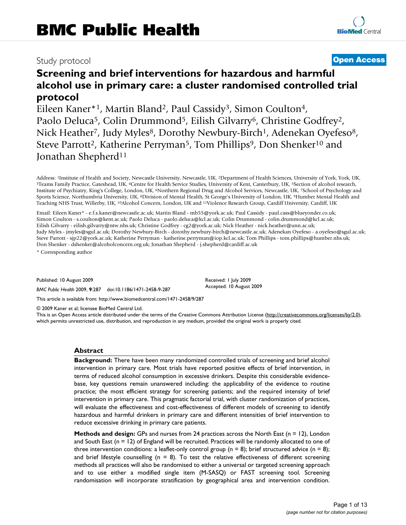# Study protocol

# **[Open Access](http://www.biomedcentral.com/info/about/charter/)**

# **Screening and brief interventions for hazardous and harmful alcohol use in primary care: a cluster randomised controlled trial protocol**

Eileen Kaner\*1, Martin Bland2, Paul Cassidy3, Simon Coulton4, Paolo Deluca<sup>5</sup>, Colin Drummond<sup>5</sup>, Eilish Gilvarry<sup>6</sup>, Christine Godfrey<sup>2</sup>, Nick Heather<sup>7</sup>, Judy Myles<sup>8</sup>, Dorothy Newbury-Birch<sup>1</sup>, Adenekan Oyefeso<sup>8</sup>, Steve Parrott<sup>2</sup>, Katherine Perryman<sup>5</sup>, Tom Phillips<sup>9</sup>, Don Shenker<sup>10</sup> and Jonathan Shepherd<sup>11</sup>

Address: <sup>1</sup>Institute of Health and Society, Newcastle University, Newcastle, UK, <sup>2</sup>Department of Health Sciences, University of York, York, UK, <sup>3</sup>Teams Family Practice, Gateshead, UK, <sup>4</sup>Centre for Health Service Studie Institute of Psychiatry, King's College, London, UK, 6Northern Regional Drug and Alcohol Services, Newcastle, UK, 7School of Psychology and Sports Science, Northumbria University, UK, 8Division of Mental Health, St George's University of London, UK, 9Humber Mental Health and Teaching NHS Trust, Willerby, UK, 10Alcohol Concern, London, UK and 11Violence Research Group, Cardiff University, Cardiff, UK

Email: Eileen Kaner\* - e.f.s.kaner@newcastle.ac.uk; Martin Bland - mb55@york.ac.uk; Paul Cassidy - paul.cass@blueyonder.co.uk; Simon Coulton - s.coulton@kent.ac.uk; Paolo Deluca - paolo.deluca@kcl.ac.uk; Colin Drummond - colin.drummond@kcl.ac.uk; Eilish Gilvarry - eilish.gilvarry@ntw.nhs.uk; Christine Godfrey - cg2@york.ac.uk; Nick Heather - nick.heather@unn.ac.uk; Judy Myles - jmyles@sgul.ac.uk; Dorothy Newbury-Birch - dorothy.newbury-birch@newcastle.ac.uk; Adenekan Oyefeso - a.oyefeso@sgul.ac.uk; Steve Parrott - sjp22@york.ac.uk; Katherine Perryman - katherine.perryman@iop.kcl.ac.uk; Tom Phillips - tom.phillips@humber.nhs.uk; Don Shenker - dshenker@alcoholconcern.org.uk; Jonathan Shepherd - j.shepherd@cardiff.ac.uk

\* Corresponding author

Published: 10 August 2009

*BMC Public Health* 2009, **9**:287 doi:10.1186/1471-2458-9-287

[This article is available from: http://www.biomedcentral.com/1471-2458/9/287](http://www.biomedcentral.com/1471-2458/9/287)

© 2009 Kaner et al; licensee BioMed Central Ltd.

This is an Open Access article distributed under the terms of the Creative Commons Attribution License [\(http://creativecommons.org/licenses/by/2.0\)](http://creativecommons.org/licenses/by/2.0), which permits unrestricted use, distribution, and reproduction in any medium, provided the original work is properly cited.

Received: 1 July 2009 Accepted: 10 August 2009

#### **Abstract**

**Background:** There have been many randomized controlled trials of screening and brief alcohol intervention in primary care. Most trials have reported positive effects of brief intervention, in terms of reduced alcohol consumption in excessive drinkers. Despite this considerable evidencebase, key questions remain unanswered including: the applicability of the evidence to routine practice; the most efficient strategy for screening patients; and the required intensity of brief intervention in primary care. This pragmatic factorial trial, with cluster randomization of practices, will evaluate the effectiveness and cost-effectiveness of different models of screening to identify hazardous and harmful drinkers in primary care and different intensities of brief intervention to reduce excessive drinking in primary care patients.

**Methods and design:** GPs and nurses from 24 practices across the North East (n = 12), London and South East (n = 12) of England will be recruited. Practices will be randomly allocated to one of three intervention conditions: a leaflet-only control group ( $n = 8$ ); brief structured advice ( $n = 8$ ); and brief lifestyle counselling ( $n = 8$ ). To test the relative effectiveness of different screening methods all practices will also be randomised to either a universal or targeted screening approach and to use either a modified single item (M-SASQ) or FAST screening tool. Screening randomisation will incorporate stratification by geographical area and intervention condition.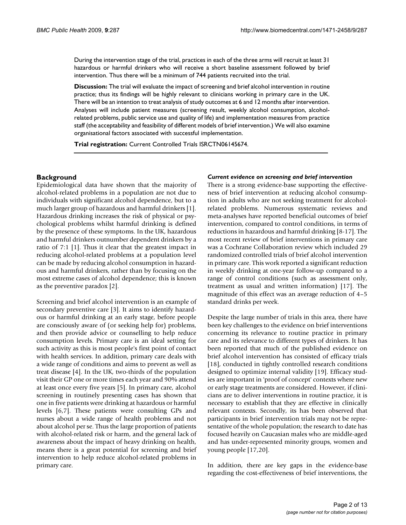During the intervention stage of the trial, practices in each of the three arms will recruit at least 31 hazardous or harmful drinkers who will receive a short baseline assessment followed by brief intervention. Thus there will be a minimum of 744 patients recruited into the trial.

**Discussion:** The trial will evaluate the impact of screening and brief alcohol intervention in routine practice; thus its findings will be highly relevant to clinicians working in primary care in the UK. There will be an intention to treat analysis of study outcomes at 6 and 12 months after intervention. Analyses will include patient measures (screening result, weekly alcohol consumption, alcoholrelated problems, public service use and quality of life) and implementation measures from practice staff (the acceptability and feasibility of different models of brief intervention.) We will also examine organisational factors associated with successful implementation.

**Trial registration:** Current Controlled Trials ISRCTN06145674.

#### **Background**

Epidemiological data have shown that the majority of alcohol-related problems in a population are not due to individuals with significant alcohol dependence, but to a much larger group of hazardous and harmful drinkers [[1](#page-10-0)]. Hazardous drinking increases the risk of physical or psychological problems whilst harmful drinking is defined by the presence of these symptoms. In the UK, hazardous and harmful drinkers outnumber dependent drinkers by a ratio of 7:1 [[1](#page-10-0)]. Thus it clear that the greatest impact in reducing alcohol-related problems at a population level can be made by reducing alcohol consumption in hazardous and harmful drinkers, rather than by focusing on the most extreme cases of alcohol dependence; this is known as the preventive paradox [\[2\]](#page-11-0).

Screening and brief alcohol intervention is an example of secondary preventive care [\[3\]](#page-11-1). It aims to identify hazardous or harmful drinking at an early stage, before people are consciously aware of (or seeking help for) problems, and then provide advice or counselling to help reduce consumption levels. Primary care is an ideal setting for such activity as this is most people's first point of contact with health services. In addition, primary care deals with a wide range of conditions and aims to prevent as well as treat disease [[4](#page-11-2)]. In the UK, two-thirds of the population visit their GP one or more times each year and 90% attend at least once every five years [\[5\]](#page-11-3). In primary care, alcohol screening in routinely presenting cases has shown that one in five patients were drinking at hazardous or harmful levels [[6](#page-11-4),[7](#page-11-5)]. These patients were consulting GPs and nurses about a wide range of health problems and not about alcohol per se. Thus the large proportion of patients with alcohol-related risk or harm, and the general lack of awareness about the impact of heavy drinking on health, means there is a great potential for screening and brief intervention to help reduce alcohol-related problems in primary care.

#### *Current evidence on screening and brief intervention*

There is a strong evidence-base supporting the effectiveness of brief intervention at reducing alcohol consumption in adults who are not seeking treatment for alcoholrelated problems. Numerous systematic reviews and meta-analyses have reported beneficial outcomes of brief intervention, compared to control conditions, in terms of reductions in hazardous and harmful drinking [\[8-](#page-11-6)[17\]](#page-11-7). The most recent review of brief interventions in primary care was a Cochrane Collaboration review which included 29 randomized controlled trials of brief alcohol intervention in primary care. This work reported a significant reduction in weekly drinking at one-year follow-up compared to a range of control conditions (such as assessment only, treatment as usual and written information) [\[17\]](#page-11-7). The magnitude of this effect was an average reduction of 4–5 standard drinks per week.

Despite the large number of trials in this area, there have been key challenges to the evidence on brief interventions concerning its relevance to routine practice in primary care and its relevance to different types of drinkers. It has been reported that much of the published evidence on brief alcohol intervention has consisted of efficacy trials [[18](#page-11-8)], conducted in tightly controlled research conditions designed to optimize internal validity [[19](#page-11-9)]. Efficacy studies are important in 'proof of concept' contexts where new or early stage treatments are considered. However, if clinicians are to deliver interventions in routine practice, it is necessary to establish that they are effective in clinically relevant contexts. Secondly, its has been observed that participants in brief intervention trials may not be representative of the whole population; the research to date has focused heavily on Caucasian males who are middle-aged and has under-represented minority groups, women and young people [[17](#page-11-7),[20\]](#page-11-10).

In addition, there are key gaps in the evidence-base regarding the cost-effectiveness of brief interventions, the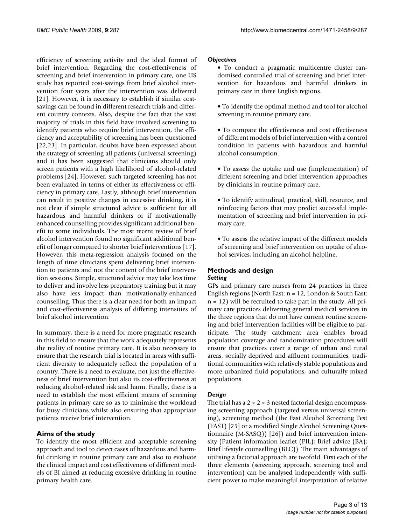efficiency of screening activity and the ideal format of brief intervention. Regarding the cost-effectiveness of screening and brief intervention in primary care, one US study has reported cost-savings from brief alcohol intervention four years after the intervention was delivered [[21](#page-11-11)]. However, it is necessary to establish if similar costsavings can be found in different research trials and different country contexts. Also, despite the fact that the vast majority of trials in this field have involved screening to identify patients who require brief intervention, the efficiency and acceptability of screening has been questioned [[22](#page-11-12),[23\]](#page-11-13). In particular, doubts have been expressed about the strategy of screening all patients (universal screening) and it has been suggested that clinicians should only screen patients with a high likelihood of alcohol-related problems [\[24](#page-11-14)]. However, such targeted screening has not been evaluated in terms of either its effectiveness or efficiency in primary care. Lastly, although brief intervention can result in positive changes in excessive drinking, it is not clear if simple structured advice is sufficient for all hazardous and harmful drinkers or if motivationally enhanced counselling provides significant additional benefit to some individuals. The most recent review of brief alcohol intervention found no significant additional benefit of longer compared to shorter brief interventions [\[17](#page-11-7)]. However, this meta-regression analysis focused on the length of time clinicians spent delivering brief intervention to patients and not the content of the brief intervention sessions. Simple, structured advice may take less time to deliver and involve less preparatory training but it may also have less impact than motivationally-enhanced counselling. Thus there is a clear need for both an impact and cost-effectiveness analysis of differing intensities of brief alcohol intervention.

In summary, there is a need for more pragmatic research in this field to ensure that the work adequately represents the reality of routine primary care. It is also necessary to ensure that the research trial is located in areas with sufficient diversity to adequately reflect the population of a country. There is a need to evaluate, not just the effectiveness of brief intervention but also its cost-effectiveness at reducing alcohol-related risk and harm. Finally, there is a need to establish the most efficient means of screening patients in primary care so as to minimise the workload for busy clinicians whilst also ensuring that appropriate patients receive brief intervention.

# **Aims of the study**

To identify the most efficient and acceptable screening approach and tool to detect cases of hazardous and harmful drinking in routine primary care and also to evaluate the clinical impact and cost effectiveness of different models of BI aimed at reducing excessive drinking in routine primary health care.

# *Objectives*

• To conduct a pragmatic multicentre cluster randomised controlled trial of screening and brief intervention for hazardous and harmful drinkers in primary care in three English regions.

• To identify the optimal method and tool for alcohol screening in routine primary care.

• To compare the effectiveness and cost effectiveness of different models of brief intervention with a control condition in patients with hazardous and harmful alcohol consumption.

• To assess the uptake and use (implementation) of different screening and brief intervention approaches by clinicians in routine primary care.

• To identify attitudinal, practical, skill, resource, and reinforcing factors that may predict successful implementation of screening and brief intervention in primary care.

• To assess the relative impact of the different models of screening and brief intervention on uptake of alcohol services, including an alcohol helpline.

#### **Methods and design** *Setting*

GPs and primary care nurses from 24 practices in three English regions (North East: n = 12, London & South East: n = 12) will be recruited to take part in the study. All primary care practices delivering general medical services in the three regions that do not have current routine screening and brief intervention facilities will be eligible to participate. The study catchment area enables broad population coverage and randomization procedures will ensure that practices cover a range of urban and rural areas, socially deprived and affluent communities, traditional communities with relatively stable populations and more urbanized fluid populations, and culturally mixed populations.

# *Design*

The trial has a  $2 \times 2 \times 3$  nested factorial design encompassing screening approach (targeted versus universal screening), screening method (the Fast Alcohol Screening Test (FAST) [[25\]](#page-11-15) or a modified Single Alcohol Screening Questionnaire (M-SASQ)) [\[26](#page-11-16)]) and brief intervention intensity (Patient information leaflet (PIL); Brief advice (BA); Brief lifestyle counselling (BLC)). The main advantages of utilising a factorial approach are twofold. First each of the three elements (screening approach, screening tool and intervention) can be analysed independently with sufficient power to make meaningful interpretation of relative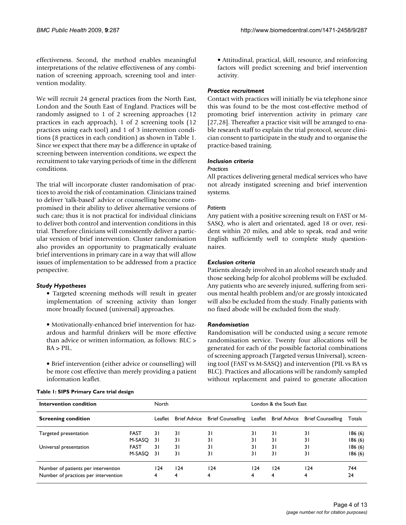effectiveness. Second, the method enables meaningful interpretations of the relative effectiveness of any combination of screening approach, screening tool and intervention modality.

We will recruit 24 general practices from the North East, London and the South East of England. Practices will be randomly assigned to 1 of 2 screening approaches (12 practices in each approach), 1 of 2 screening tools (12 practices using each tool) and 1 of 3 intervention conditions (8 practices in each condition) as shown in Table [1.](#page-3-0) Since we expect that there may be a difference in uptake of screening between intervention conditions, we expect the recruitment to take varying periods of time in the different conditions.

The trial will incorporate cluster randomisation of practices to avoid the risk of contamination. Clinicians trained to deliver 'talk-based' advice or counselling become compromised in their ability to deliver alternative versions of such care; thus it is not practical for individual clinicians to deliver both control and intervention conditions in this trial. Therefore clinicians will consistently deliver a particular version of brief intervention. Cluster randomisation also provides an opportunity to pragmatically evaluate brief interventions in primary care in a way that will allow issues of implementation to be addressed from a practice perspective.

# *Study Hypotheses*

• Targeted screening methods will result in greater implementation of screening activity than longer more broadly focused (universal) approaches.

• Motivationally-enhanced brief intervention for hazardous and harmful drinkers will be more effective than advice or written information, as follows: BLC >  $BA > PIL$ .

• Brief intervention (either advice or counselling) will be more cost effective than merely providing a patient information leaflet.

• Attitudinal, practical, skill, resource, and reinforcing factors will predict screening and brief intervention activity.

## *Practice recruitment*

Contact with practices will initially be via telephone since this was found to be the most cost-effective method of promoting brief intervention activity in primary care [[27](#page-11-17),[28\]](#page-11-18). Thereafter a practice visit will be arranged to enable research staff to explain the trial protocol, secure clinician consent to participate in the study and to organise the practice-based training.

#### *Inclusion criteria*

#### *Practices*

All practices delivering general medical services who have not already instigated screening and brief intervention systems.

#### *Patients*

Any patient with a positive screening result on FAST or M-SASQ, who is alert and orientated, aged 18 or over, resident within 20 miles, and able to speak, read and write English sufficiently well to complete study questionnaires.

#### *Exclusion criteria*

Patients already involved in an alcohol research study and those seeking help for alcohol problems will be excluded. Any patients who are severely injured, suffering from serious mental health problem and/or are grossly intoxicated will also be excluded from the study. Finally patients with no fixed abode will be excluded from the study.

#### *Randomisation*

Randomisation will be conducted using a secure remote randomisation service. Twenty four allocations will be generated for each of the possible factorial combinations of screening approach (Targeted versus Universal), screening tool (FAST vs M-SASQ) and intervention (PIL vs BA vs BLC). Practices and allocations will be randomly sampled without replacement and paired to generate allocation

| Intervention condition               |             | North   |                 |                          | London & the South East |                      |                          |         |
|--------------------------------------|-------------|---------|-----------------|--------------------------|-------------------------|----------------------|--------------------------|---------|
| <b>Screening condition</b>           |             | Leaflet | Brief Advice    | <b>Brief Counselling</b> |                         | Leaflet Brief Advice | <b>Brief Counselling</b> | Totals  |
| Targeted presentation                | <b>FAST</b> | 31      | 31              | 31                       | 31                      | $\overline{3}$       | 31                       | 186(6)  |
|                                      | M-SASO      | - 31    | 31              | 31                       | 31                      | 31                   | 31                       | 186(6)  |
| Universal presentation               | <b>FAST</b> | 31      | $\overline{3}1$ | 31                       | 31                      | 31                   | 31                       | 186(6)  |
|                                      | M-SASO      | - 31    | $\overline{3}$  | 31                       | 31                      | $\overline{3}$       | 31                       | 186 (6) |
| Number of patients per intervention  |             | 124     | 124             | 124                      | 124                     | 124                  | 124                      | 744     |
| Number of practices per intervention |             | 4       | 4               | 4                        | 4                       | 4                    | 4                        | 24      |

<span id="page-3-0"></span>**Table 1: SIPS Primary Care trial design**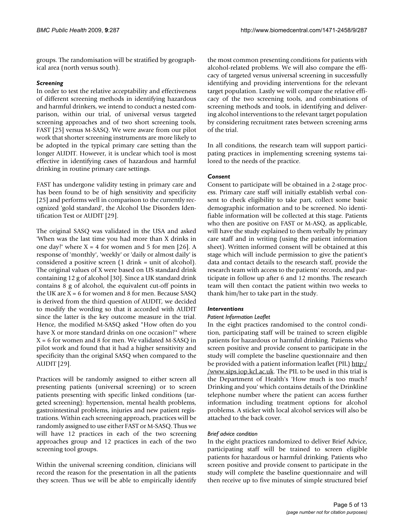groups. The randomisation will be stratified by geographical area (north versus south).

# *Screening*

In order to test the relative acceptability and effectiveness of different screening methods in identifying hazardous and harmful drinkers, we intend to conduct a nested comparison, within our trial, of universal versus targeted screening approaches and of two short screening tools, FAST [\[25](#page-11-15)] versus M-SASQ. We were aware from our pilot work that shorter screening instruments are more likely to be adopted in the typical primary care setting than the longer AUDIT. However, it is unclear which tool is most effective in identifying cases of hazardous and harmful drinking in routine primary care settings.

FAST has undergone validity testing in primary care and has been found to be of high sensitivity and specificity [[25](#page-11-15)] and performs well in comparison to the currently recognized 'gold standard', the Alcohol Use Disorders Identification Test or AUDIT [[29\]](#page-11-19).

The original SASQ was validated in the USA and asked 'When was the last time you had more than X drinks in one day?' where  $X = 4$  for women and 5 for men [\[26\]](#page-11-16). A response of 'monthly', 'weekly' or 'daily or almost daily' is considered a positive screen (1 drink = unit of alcohol). The original values of X were based on US standard drink containing 12 g of alcohol [[30](#page-11-20)]. Since a UK standard drink contains 8 g of alcohol, the equivalent cut-off points in the UK are X = 6 for women and 8 for men. Because SASQ is derived from the third question of AUDIT, we decided to modify the wording so that it accorded with AUDIT since the latter is the key outcome measure in the trial. Hence, the modified M-SASQ asked "How often do you have X or more standard drinks on one occasion?" where  $X = 6$  for women and 8 for men. We validated M-SASQ in pilot work and found that it had a higher sensitivity and specificity than the original SASQ when compared to the AUDIT [[29](#page-11-19)].

Practices will be randomly assigned to either screen all presenting patients (universal screening) or to screen patients presenting with specific linked conditions (targeted screening): hypertension, mental health problems, gastrointestinal problems, injuries and new patient registrations. Within each screening approach, practices will be randomly assigned to use either FAST or M-SASQ. Thus we will have 12 practices in each of the two screening approaches group and 12 practices in each of the two screening tool groups.

Within the universal screening condition, clinicians will record the reason for the presentation in all the patients they screen. Thus we will be able to empirically identify the most common presenting conditions for patients with alcohol-related problems. We will also compare the efficacy of targeted versus universal screening in successfully identifying and providing interventions for the relevant target population. Lastly we will compare the relative efficacy of the two screening tools, and combinations of screening methods and tools, in identifying and delivering alcohol interventions to the relevant target population by considering recruitment rates between screening arms of the trial.

In all conditions, the research team will support participating practices in implementing screening systems tailored to the needs of the practice.

# *Consent*

Consent to participate will be obtained in a 2-stage process. Primary care staff will initially establish verbal consent to check eligibility to take part, collect some basic demographic information and to be screened. No identifiable information will be collected at this stage. Patients who then are positive on FAST or M-ASQ, as applicable, will have the study explained to them verbally by primary care staff and in writing (using the patient information sheet). Written informed consent will be obtained at this stage which will include permission to give the patient's data and contact details to the research staff, provide the research team with access to the patients' records, and participate in follow up after 6 and 12 months. The research team will then contact the patient within two weeks to thank him/her to take part in the study.

# *Interventions*

#### *Patient Information Leaflet*

In the eight practices randomised to the control condition, participating staff will be trained to screen eligible patients for hazardous or harmful drinking. Patients who screen positive and provide consent to participate in the study will complete the baseline questionnaire and then be provided with a patient information leaflet (PIL) [http:/](http://www.sips.iop.kcl.ac.uk) [/www.sips.iop.kcl.ac.uk.](http://www.sips.iop.kcl.ac.uk) The PIL to be used in this trial is the Department of Health's 'How much is too much? Drinking and you' which contains details of the Drinkline telephone number where the patient can access further information including treatment options for alcohol problems. A sticker with local alcohol services will also be attached to the back cover.

#### *Brief advice condition*

In the eight practices randomized to deliver Brief Advice, participating staff will be trained to screen eligible patients for hazardous or harmful drinking. Patients who screen positive and provide consent to participate in the study will complete the baseline questionnaire and will then receive up to five minutes of simple structured brief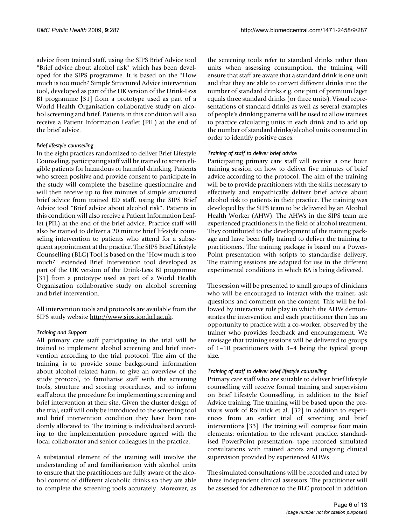advice from trained staff, using the SIPS Brief Advice tool "Brief advice about alcohol risk" which has been developed for the SIPS programme. It is based on the "How much is too much? Simple Structured Advice intervention tool, developed as part of the UK version of the Drink-Less BI programme [[31\]](#page-11-21) from a prototype used as part of a World Health Organisation collaborative study on alcohol screening and brief. Patients in this condition will also receive a Patient Information Leaflet (PIL) at the end of the brief advice.

# *Brief lifestyle counselling*

In the eight practices randomized to deliver Brief Lifestyle Counseling, participating staff will be trained to screen eligible patients for hazardous or harmful drinking. Patients who screen positive and provide consent to participate in the study will complete the baseline questionnaire and will then receive up to five minutes of simple structured brief advice from trained ED staff, using the SIPS Brief Advice tool "Brief advice about alcohol risk". Patients in this condition will also receive a Patient Information Leaflet (PIL) at the end of the brief advice. Practice staff will also be trained to deliver a 20 minute brief lifestyle counseling intervention to patients who attend for a subsequent appointment at the practice. The SIPS Brief Lifestyle Counselling (BLC) Tool is based on the "How much is too much?" extended Brief Intervention tool developed as part of the UK version of the Drink-Less BI programme [[31](#page-11-21)] from a prototype used as part of a World Health Organisation collaborative study on alcohol screening and brief intervention.

All intervention tools and protocols are available from the SIPS study website [http://www.sips.iop.kcl.ac.uk.](http://www.sips.iop.kcl.ac.uk)

# *Training and Support*

All primary care staff participating in the trial will be trained to implement alcohol screening and brief intervention according to the trial protocol. The aim of the training is to provide some background information about alcohol related harm, to give an overview of the study protocol, to familiarise staff with the screening tools, structure and scoring procedures, and to inform staff about the procedure for implementing screening and brief intervention at their site. Given the cluster design of the trial, staff will only be introduced to the screening tool and brief intervention condition they have been randomly allocated to. The training is individualised according to the implementation procedure agreed with the local collaborator and senior colleagues in the practice.

A substantial element of the training will involve the understanding of and familiarisation with alcohol units to ensure that the practitioners are fully aware of the alcohol content of different alcoholic drinks so they are able to complete the screening tools accurately. Moreover, as

the screening tools refer to standard drinks rather than units when assessing consumption, the training will ensure that staff are aware that a standard drink is one unit and that they are able to convert different drinks into the number of standard drinks e.g. one pint of premium lager equals three standard drinks (or three units). Visual representations of standard drinks as well as several examples of people's drinking patterns will be used to allow trainees to practice calculating units in each drink and to add up the number of standard drinks/alcohol units consumed in order to identify positive cases.

#### *Training of staff to deliver brief advice*

Participating primary care staff will receive a one hour training session on how to deliver five minutes of brief advice according to the protocol. The aim of the training will be to provide practitioners with the skills necessary to effectively and empathically deliver brief advice about alcohol risk to patients in their practice. The training was developed by the SIPS team to be delivered by an Alcohol Health Worker (AHW). The AHWs in the SIPS team are experienced practitioners in the field of alcohol treatment. They contributed to the development of the training package and have been fully trained to deliver the training to practitioners. The training package is based on a Power-Point presentation with scripts to standardise delivery. The training sessions are adapted for use in the different experimental conditions in which BA is being delivered.

The session will be presented to small groups of clinicians who will be encouraged to interact with the trainer, ask questions and comment on the content. This will be followed by interactive role play in which the AHW demonstrates the intervention and each practitioner then has an opportunity to practice with a co-worker, observed by the trainer who provides feedback and encouragement. We envisage that training sessions will be delivered to groups of 1–10 practitioners with 3–4 being the typical group size.

# *Training of staff to deliver brief lifestyle counselling*

Primary care staff who are suitable to deliver brief lifestyle counselling will receive formal training and supervision on Brief Lifestyle Counselling, in addition to the Brief Advice training. The training will be based upon the previous work of Rollnick et al. [\[32](#page-11-22)] in addition to experiences from an earlier trial of screening and brief interventions [\[33](#page-11-23)]. The training will comprise four main elements: orientation to the relevant practice, standardised PowerPoint presentation, tape recorded simulated consultations with trained actors and ongoing clinical supervision provided by experienced AHWs.

The simulated consultations will be recorded and rated by three independent clinical assessors. The practitioner will be assessed for adherence to the BLC protocol in addition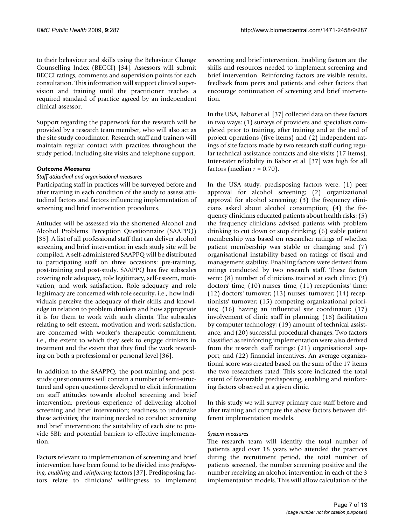to their behaviour and skills using the Behaviour Change Counselling Index (BECCI) [\[34\]](#page-11-24). Assessors will submit BECCI ratings, comments and supervision points for each consultation. This information will support clinical supervision and training until the practitioner reaches a required standard of practice agreed by an independent clinical assessor.

Support regarding the paperwork for the research will be provided by a research team member, who will also act as the site study coordinator. Research staff and trainers will maintain regular contact with practices throughout the study period, including site visits and telephone support.

#### *Outcome Measures*

#### *Staff attitudinal and organisational measures*

Participating staff in practices will be surveyed before and after training in each condition of the study to assess attitudinal factors and factors influencing implementation of screening and brief intervention procedures.

Attitudes will be assessed via the shortened Alcohol and Alcohol Problems Perception Questionnaire (SAAPPQ) [[35](#page-11-25)]. A list of all professional staff that can deliver alcohol screening and brief intervention in each study site will be compiled. A self-administered SAAPPQ will be distributed to participating staff on three occasions: pre-training, post-training and post-study. SAAPPQ has five subscales covering role adequacy, role legitimacy, self-esteem, motivation, and work satisfaction. Role adequacy and role legitimacy are concerned with role security, i.e., how individuals perceive the adequacy of their skills and knowledge in relation to problem drinkers and how appropriate it is for them to work with such clients. The subscales relating to self esteem, motivation and work satisfaction, are concerned with worker's therapeutic commitment, i.e., the extent to which they seek to engage drinkers in treatment and the extent that they find the work rewarding on both a professional or personal level [\[36](#page-11-26)].

In addition to the SAAPPQ, the post-training and poststudy questionnaires will contain a number of semi-structured and open questions developed to elicit information on staff attitudes towards alcohol screening and brief intervention; previous experience of delivering alcohol screening and brief intervention; readiness to undertake these activities; the training needed to conduct screening and brief intervention; the suitability of each site to provide SBI; and potential barriers to effective implementation.

Factors relevant to implementation of screening and brief intervention have been found to be divided into *predisposing*, *enabling* and *reinforcing* factors [\[37](#page-11-27)]. Predisposing factors relate to clinicians' willingness to implement screening and brief intervention. Enabling factors are the skills and resources needed to implement screening and brief intervention. Reinforcing factors are visible results, feedback from peers and patients and other factors that encourage continuation of screening and brief intervention.

In the USA, Babor et al. [\[37\]](#page-11-27) collected data on these factors in two ways: (1) surveys of providers and specialists completed prior to training, after training and at the end of project operations (five items) and (2) independent ratings of site factors made by two research staff during regular technical assistance contacts and site visits (17 items). Inter-rater reliability in Babor et al. [[37](#page-11-27)] was high for all factors (median  $r = 0.70$ ).

In the USA study, predisposing factors were: (1) peer approval for alcohol screening; (2) organizational approval for alcohol screening; (3) the frequency clinicians asked about alcohol consumption; (4) the frequency clinicians educated patients about health risks; (5) the frequency clinicians advised patients with problem drinking to cut down or stop drinking; (6) stable patient membership was based on researcher ratings of whether patient membership was stable or changing; and (7) organisational instability based on ratings of fiscal and management stability. Enabling factors were derived from ratings conducted by two research staff. These factors were: (8) number of clinicians trained at each clinic; (9) doctors' time; (10) nurses' time, (11) receptionists' time; (12) doctors' turnover; (13) nurses' turnover; (14) receptionists' turnover; (15) competing organizational priorities; (16) having an influential site coordinator; (17) involvement of clinic staff in planning; (18) facilitation by computer technology; (19) amount of technical assistance; and (20) successful procedural changes. Two factors classified as reinforcing implementation were also derived from the research staff ratings: (21) organisational support; and (22) financial incentives. An average organizational score was created based on the sum of the 17 items the two researchers rated. This score indicated the total extent of favourable predisposing, enabling and reinforcing factors observed at a given clinic.

In this study we will survey primary care staff before and after training and compare the above factors between different implementation models.

#### *System measures*

The research team will identify the total number of patients aged over 18 years who attended the practices during the recruitment period, the total number of patients screened, the number screening positive and the number receiving an alcohol intervention in each of the 3 implementation models. This will allow calculation of the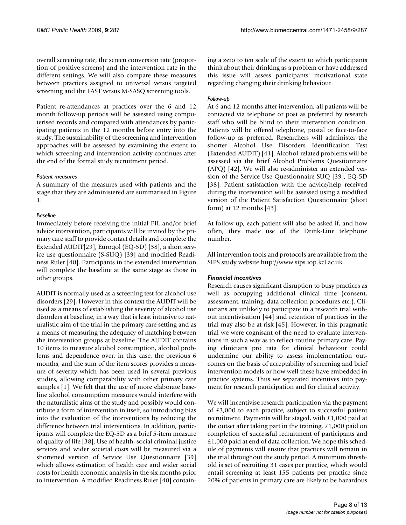overall screening rate, the screen conversion rate (proportion of positive screens) and the intervention rate in the different settings. We will also compare these measures between practices assigned to universal versus targeted screening and the FAST versus M-SASQ screening tools.

Patient re-attendances at practices over the 6 and 12 month follow-up periods will be assessed using computerised records and compared with attendances by participating patients in the 12 months before entry into the study. The sustainability of the screening and intervention approaches will be assessed by examining the extent to which screening and intervention activity continues after the end of the formal study recruitment period.

#### *Patient measures*

A summary of the measures used with patients and the stage that they are administered are summarised in Figure [1.](#page-8-0)

#### *Baseline*

Immediately before receiving the initial PIL and/or brief advice intervention, participants will be invited by the primary care staff to provide contact details and complete the Extended AUDIT[\[29](#page-11-19)], Euroqol (EQ-5D) [\[38\]](#page-11-28), a short service use questionnaire (S-SUQ) [[39\]](#page-11-29) and modified Readiness Ruler [\[40](#page-11-30)]. Participants in the extended intervention will complete the baseline at the same stage as those in other groups.

AUDIT is normally used as a screening test for alcohol use disorders [\[29](#page-11-19)]. However in this context the AUDIT will be used as a means of establishing the severity of alcohol use disorders at baseline, in a way that is least intrusive to naturalistic aim of the trial in the primary care setting and as a means of measuring the adequacy of matching between the intervention groups at baseline. The AUDIT contains 10 items to measure alcohol consumption, alcohol problems and dependence over, in this case, the previous 6 months, and the sum of the item scores provides a measure of severity which has been used in several previous studies, allowing comparability with other primary care samples [\[1\]](#page-10-0). We felt that the use of more elaborate baseline alcohol consumption measures would interfere with the naturalistic aims of the study and possibly would contribute a form of intervention in itself, so introducing bias into the evaluation of the interventions by reducing the difference between trial interventions. In addition, participants will complete the EQ-5D as a brief 5-item measure of quality of life [\[38\]](#page-11-28). Use of health, social criminal justice services and wider societal costs will be measured via a shortened version of Service Use Questionnaire [[39\]](#page-11-29) which allows estimation of health care and wider social costs for health economic analysis in the six months prior to intervention. A modified Readiness Ruler [[40](#page-11-30)] containing a zero to ten scale of the extent to which participants think about their drinking as a problem or have addressed this issue will assess participants' motivational state regarding changing their drinking behaviour.

# *Follow-up*

At 6 and 12 months after intervention, all patients will be contacted via telephone or post as preferred by research staff who will be blind to their intervention condition. Patients will be offered telephone, postal or face-to-face follow-up as preferred. Researchers will administer the shorter Alcohol Use Disorders Identification Test (Extended-AUDIT) [\[41\]](#page-11-31). Alcohol-related problems will be assessed via the brief Alcohol Problems Questionnaire (APQ) [\[42](#page-11-32)]. We will also re-administer an extended version of the Service Use Questionnaire SUQ [[39](#page-11-29)], EQ-5D [[38](#page-11-28)]. Patient satisfaction with the advice/help received during the intervention will be assessed using a modified version of the Patient Satisfaction Questionnaire (short form) at 12 months [[43](#page-11-33)].

At follow-up, each patient will also be asked if, and how often, they made use of the Drink-Line telephone number.

All intervention tools and protocols are available from the SIPS study website [http://www.sips.iop.kcl.ac.uk.](http://www.sips.iop.kcl.ac.uk)

# *Financial incentives*

Research causes significant disruption to busy practices as well as occupying additional clinical time (consent, assessment, training, data collection procedures etc.). Clinicians are unlikely to participate in a research trial without incentivisation [\[44](#page-11-34)] and retention of practices in the trial may also be at risk [\[45](#page-12-0)]. However, in this pragmatic trial we were cognisant of the need to evaluate interventions in such a way as to reflect routine primary care. Paying clinicians pro rata for clinical behaviour could undermine our ability to assess implementation outcomes on the basis of acceptability of screening and brief intervention models or how well these have embedded in practice systems. Thus we separated incentives into payment for research participation and for clinical activity.

We will incentivise research participation via the payment of £3,000 to each practice, subject to successful patient recruitment. Payments will be staged, with £1,000 paid at the outset after taking part in the training, £1,000 paid on completion of successful recruitment of participants and  $£1,000$  paid at end of data collection. We hope this schedule of payments will ensure that practices will remain in the trial throughout the study period. A minimum threshold is set of recruiting 31 cases per practice, which would entail screening at least 155 patients per practice since 20% of patients in primary care are likely to be hazardous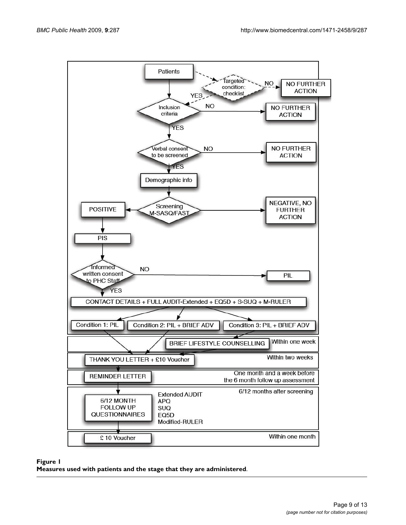<span id="page-8-0"></span>

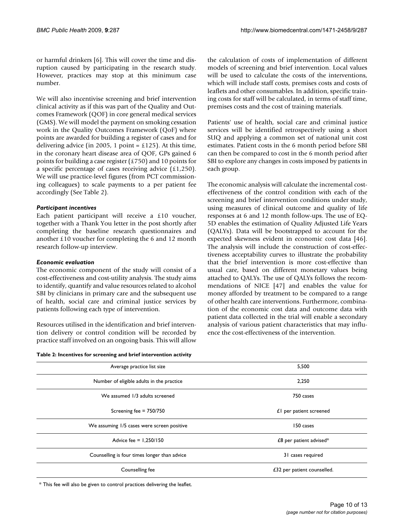or harmful drinkers [[6](#page-11-4)]. This will cover the time and disruption caused by participating in the research study. However, practices may stop at this minimum case number.

We will also incentivise screening and brief intervention clinical activity as if this was part of the Quality and Outcomes Framework (QOF) in core general medical services (GMS). We will model the payment on smoking cessation work in the Quality Outcomes Framework (QoF) where points are awarded for building a register of cases and for delivering advice (in 2005, 1 point =  $£125$ ). At this time, in the coronary heart disease area of QOF, GPs gained 6 points for building a case register (£750) and 10 points for a specific percentage of cases receiving advice (£1,250). We will use practice-level figures (from PCT commissioning colleagues) to scale payments to a per patient fee accordingly (See Table [2](#page-9-0)).

# *Participant incentives*

Each patient participant will receive a £10 voucher, together with a Thank You letter in the post shortly after completing the baseline research questionnaires and another £10 voucher for completing the 6 and 12 month research follow-up interview.

# *Economic evaluation*

The economic component of the study will consist of a cost-effectiveness and cost-utility analysis. The study aims to identify, quantify and value resources related to alcohol SBI by clinicians in primary care and the subsequent use of health, social care and criminal justice services by patients following each type of intervention.

Resources utilised in the identification and brief intervention delivery or control condition will be recorded by practice staff involved on an ongoing basis. This will allow the calculation of costs of implementation of different models of screening and brief intervention. Local values will be used to calculate the costs of the interventions, which will include staff costs, premises costs and costs of leaflets and other consumables. In addition, specific training costs for staff will be calculated, in terms of staff time, premises costs and the cost of training materials.

Patients' use of health, social care and criminal justice services will be identified retrospectively using a short SUQ and applying a common set of national unit cost estimates. Patient costs in the 6 month period before SBI can then be compared to cost in the 6 month period after SBI to explore any changes in costs imposed by patients in each group.

The economic analysis will calculate the incremental costeffectiveness of the control condition with each of the screening and brief intervention conditions under study, using measures of clinical outcome and quality of life responses at 6 and 12 month follow-ups. The use of EQ-5D enables the estimation of Quality Adjusted Life Years (QALYs). Data will be bootstrapped to account for the expected skewness evident in economic cost data [\[46](#page-12-1)]. The analysis will include the construction of cost-effectiveness acceptability curves to illustrate the probability that the brief intervention is more cost-effective than usual care, based on different monetary values being attached to QALYs. The use of QALYs follows the recommendations of NICE [[47](#page-12-2)] and enables the value for money afforded by treatment to be compared to a range of other health care interventions. Furthermore, combination of the economic cost data and outcome data with patient data collected in the trial will enable a secondary analysis of various patient characteristics that may influence the cost-effectiveness of the intervention.

<span id="page-9-0"></span>**Table 2: Incentives for screening and brief intervention activity**

| Average practice list size                   | 5,500                       |  |  |  |
|----------------------------------------------|-----------------------------|--|--|--|
| Number of eligible adults in the practice    | 2,250                       |  |  |  |
| We assumed 1/3 adults screened               | 750 cases                   |  |  |  |
| Screening fee = 750/750                      | £1 per patient screened     |  |  |  |
| We assuming 1/5 cases were screen positive   | 150 cases                   |  |  |  |
| Advice fee = 1,250/150                       | £8 per patient advised*     |  |  |  |
| Counselling is four times longer than advice | 31 cases required           |  |  |  |
| Counselling fee                              | £32 per patient counselled. |  |  |  |

\* This fee will also be given to control practices delivering the leaflet.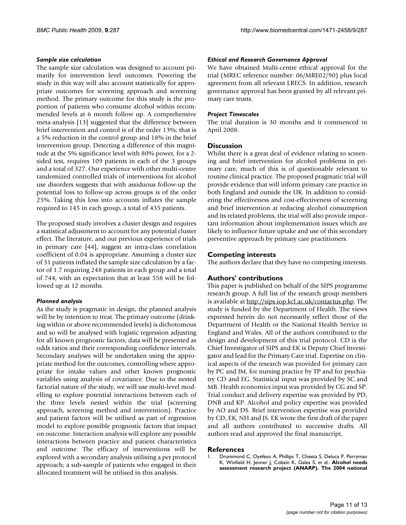#### *Sample size calculation*

The sample size calculation was designed to account primarily for intervention level outcomes. Powering the study in this way will also account statistically for appropriate outcomes for screening approach and screening method. The primary outcome for this study is the proportion of patients who consume alcohol within recommended levels at 6 month follow up. A comprehensive meta-analysis [[13\]](#page-11-35) suggested that the difference between brief intervention and control is of the order 13%; that is a 5% reduction in the control group and 18% in the brief intervention group. Detecting a difference of this magnitude at the 5% significance level with 80% power, for a 2 sided test, requires 109 patients in each of the 3 groups and a total of 327. Our experience with other multi-centre randomized controlled trials of interventions for alcohol use disorders suggests that with assiduous follow-up the potential loss to follow-up across groups is of the order 25%. Taking this loss into accounts inflates the sample required to 145 in each group, a total of 435 patients.

The proposed study involves a cluster design and requires a statistical adjustment to account for any potential cluster effect. The literature, and our previous experience of trials in primary care [[44](#page-11-34)], suggest an intra-class correlation coefficient of 0.04 is appropriate. Assuming a cluster size of 31 patients inflated the sample size calculation by a factor of 1.7 requiring 248 patients in each group and a total of 744, with an expectation that at least 558 will be followed up at 12 months.

# *Planned analysis*

As the study is pragmatic in design, the planned analysis will be by intention to treat. The primary outcome (drinking within or above recommended levels) is dichotomous and so will be analysed with logistic regression adjusting for all known prognostic factors; data will be presented as odds ratios and their corresponding confidence intervals. Secondary analyses will be undertaken using the appropriate method for the outcomes, controlling where appropriate for intake values and other known prognostic variables using analysis of covariance. Due to the nested factorial nature of the study, we will use multi-level modelling to explore potential interactions between each of the three levels nested within the trial (screening approach, screening method and intervention). Practice and patient factors will be utilised as part of regression model to explore possible prognostic factors that impact on outcome. Interaction analysis will explore any possible interactions between practice and patient characteristics and outcome. The efficacy of interventions will be explored with a secondary analysis utilising a per protocol approach; a sub-sample of patients who engaged in their allocated treatment will be utilised in this analysis.

## *Ethical and Research Governance Approval*

We have obtained Multi-centre ethical approval for the trial (MREC reference number: 06/MRE02/90) plus local agreement from all relevant LRECS. In addition, research governance approval has been granted by all relevant primary care trusts.

#### *Project Timescales*

The trial duration is 30 months and it commenced in April 2008.

# **Discussion**

Whilst there is a great deal of evidence relating to screening and brief intervention for alcohol problems in primary care, much of this is of questionable relevant to routine clinical practice. The proposed pragmatic trial will provide evidence that will inform primary care practice in both England and outside the UK. In addition to considering the effectiveness and cost-effectiveness of screening and brief intervention at reducing alcohol consumption and its related problems, the trial will also provide important information about implementation issues which are likely to influence future uptake and use of this secondary preventive approach by primary care practitioners.

# **Competing interests**

The authors declare that they have no competing interests.

# **Authors' contributions**

This paper is published on behalf of the SIPS programme research group. A full list of the research group members is available at [http://sips.iop.kcl.ac.uk/contactus.php.](http://sips.iop.kcl.ac.uk/contactus.php) The study is funded by the Department of Health. The views expressed herein do not necessarily reflect those of the Department of Health or the National Health Service in England and Wales. All of the authors contributed to the design and development of this trial protocol. CD is the Chief Investigator of SIPS and EK is Deputy Chief Investigator and lead for the Primary Care trial. Expertise on clinical aspects of the research was provided for primary care by PC and JM, for nursing practice by TP and for psychiatry CD and EG. Statistical input was provided by SC and MB. Health economics input was provided by CG and SP. Trial conduct and delivery expertise was provided by PD, DNB and KP. Alcohol and policy expertise was provided by AO and DS. Brief intervention expertise was provided by CD, EK, NH and JS. EK wrote the first draft of the paper and all authors contributed to successive drafts. All authors read and approved the final manuscript.

#### **References**

<span id="page-10-0"></span>1. Drummond C, Oyefeso A, Phillips T, Cheeta S, Deluca P, Perryman K, Winfield H, Jenner J, Cobain K, Galea S, *et al.*: **Alcohol needs assessment research project (ANARP). The 2004 national**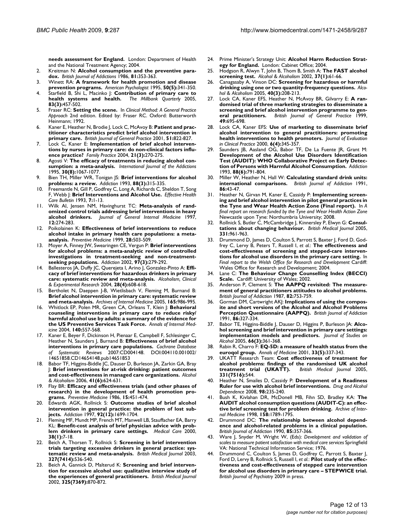**needs assessment for England.** London: Department of Health and the National Treatment Agency; 2004.

- <span id="page-11-0"></span>2. Kreitman N: **Alcohol consumption and the preventive paradox.** *British Journal of Addictions* 1986, **81:**353-363.
- <span id="page-11-1"></span>3. Winett RA: **[A framework for health promotion and disease](http://www.ncbi.nlm.nih.gov/entrez/query.fcgi?cmd=Retrieve&db=PubMed&dopt=Abstract&list_uids=7762887) [prevention programs.](http://www.ncbi.nlm.nih.gov/entrez/query.fcgi?cmd=Retrieve&db=PubMed&dopt=Abstract&list_uids=7762887)** *American Psychologist* 1995, **50(5):**341-350.
- <span id="page-11-2"></span>Starfield B, Shi L, Macinko J: **Contribution of primary care to** health systems and health. The Millbank Quarterly 2005, **health systems and health. 83(3):**457-502.
- <span id="page-11-3"></span>5. Fraser RC: **Setting the scene.** In *Clinical Method: A General Practice Approach* 2nd edition. Edited by: Fraser RC. Oxford: Butterworth Heinmann; 1992.
- <span id="page-11-4"></span>6. Kaner E, Heather N, Brodie J, Lock C, McAvoy B: **[Patient and prac](http://www.ncbi.nlm.nih.gov/entrez/query.fcgi?cmd=Retrieve&db=PubMed&dopt=Abstract&list_uids=11677706)[titioner characteristics predict brief alcohol intervention in](http://www.ncbi.nlm.nih.gov/entrez/query.fcgi?cmd=Retrieve&db=PubMed&dopt=Abstract&list_uids=11677706) [primary care.](http://www.ncbi.nlm.nih.gov/entrez/query.fcgi?cmd=Retrieve&db=PubMed&dopt=Abstract&list_uids=11677706)** *British Journal of General Practice* 2001, **51:**822-827.
- <span id="page-11-5"></span>7. Lock C, Kaner E: **[Implementation of brief alcohol interven](http://www.ncbi.nlm.nih.gov/entrez/query.fcgi?cmd=Retrieve&db=PubMed&dopt=Abstract&list_uids=15128688)[tions by nurses in primary care: do non-clinical factors influ](http://www.ncbi.nlm.nih.gov/entrez/query.fcgi?cmd=Retrieve&db=PubMed&dopt=Abstract&list_uids=15128688)[ence practice?](http://www.ncbi.nlm.nih.gov/entrez/query.fcgi?cmd=Retrieve&db=PubMed&dopt=Abstract&list_uids=15128688)** *Family Practice* 2004, **21(3):**270-275.
- <span id="page-11-6"></span>8. Agosti V: **[The efficacy of treatments in reducing alcohol con](http://www.ncbi.nlm.nih.gov/entrez/query.fcgi?cmd=Retrieve&db=PubMed&dopt=Abstract&list_uids=7558483)[sumption: a meta-analysis.](http://www.ncbi.nlm.nih.gov/entrez/query.fcgi?cmd=Retrieve&db=PubMed&dopt=Abstract&list_uids=7558483)** *International Journal of the Addictions* 1995, **30(8):**1067-1077.
- 9. Bien TH, Miller WR, Tonigan JS: **[Brief interventions for alcohol](http://www.ncbi.nlm.nih.gov/entrez/query.fcgi?cmd=Retrieve&db=PubMed&dopt=Abstract&list_uids=8461850) [problems: a review.](http://www.ncbi.nlm.nih.gov/entrez/query.fcgi?cmd=Retrieve&db=PubMed&dopt=Abstract&list_uids=8461850)** *Addiction* 1993, **88(3):**315-335.
- 10. Freemantle N, Gill P, Godfrey C, Long A, Richards C, Sheldon T, Song F, Webb J: **Brief Interventions and Alcohol Use.** *Effective Health Care Bulletin* 1993, **7:**1-13.
- 11. Wilk AI, Jensen NM, Havinghurst TC: **[Meta-analysis of rand](http://www.ncbi.nlm.nih.gov/entrez/query.fcgi?cmd=Retrieve&db=PubMed&dopt=Abstract&list_uids=9159696)[omized control trials addressing brief interventions in heavy](http://www.ncbi.nlm.nih.gov/entrez/query.fcgi?cmd=Retrieve&db=PubMed&dopt=Abstract&list_uids=9159696) [alcohol drinkers.](http://www.ncbi.nlm.nih.gov/entrez/query.fcgi?cmd=Retrieve&db=PubMed&dopt=Abstract&list_uids=9159696)** *Journal of General Internal Medicine* 1997, **12:**274-283.
- 12. Poikolainen K: **[Effectiveness of brief interventions to reduce](http://www.ncbi.nlm.nih.gov/entrez/query.fcgi?cmd=Retrieve&db=PubMed&dopt=Abstract&list_uids=10329341) [alcohol intake in primary health care populations: a meta](http://www.ncbi.nlm.nih.gov/entrez/query.fcgi?cmd=Retrieve&db=PubMed&dopt=Abstract&list_uids=10329341)[analysis.](http://www.ncbi.nlm.nih.gov/entrez/query.fcgi?cmd=Retrieve&db=PubMed&dopt=Abstract&list_uids=10329341)** *Preventive Medicine* 1999, **28:**503-509.
- <span id="page-11-35"></span>13. Moyer A, Finney JW, Swearingen CE, Vergun P: **[Brief interventions](http://www.ncbi.nlm.nih.gov/entrez/query.fcgi?cmd=Retrieve&db=PubMed&dopt=Abstract&list_uids=11964101) [for alcohol problems: a meta-analytic review of controlled](http://www.ncbi.nlm.nih.gov/entrez/query.fcgi?cmd=Retrieve&db=PubMed&dopt=Abstract&list_uids=11964101) investigations in treatment-seeking and non-treatment[seeking populations.](http://www.ncbi.nlm.nih.gov/entrez/query.fcgi?cmd=Retrieve&db=PubMed&dopt=Abstract&list_uids=11964101)** *Addiction* 2002, **97(3):**279-292.
- 14. Ballesteros JA, Duffy JC, Querejeta I, Arino J, Gonzalez-Pinto A: **Efficacy of brief interventions for hazardous drinkers in primary care: systematic review and meta-analysis.** *Alcoholism, Clinical & Experimental Research* 2004, **28(4):**608-618.
- 15. Bertholet N, Daeppen J-B, Wietlisbach V, Fleming M, Burnand B: **[Brief alcohol intervention in primary care: systematic review](http://www.ncbi.nlm.nih.gov/entrez/query.fcgi?cmd=Retrieve&db=PubMed&dopt=Abstract&list_uids=15883236) [and meta-analysis.](http://www.ncbi.nlm.nih.gov/entrez/query.fcgi?cmd=Retrieve&db=PubMed&dopt=Abstract&list_uids=15883236)** *Archives of Internal Medicine* 2005, **165:**986-995.
- 16. Whitlock EP, Polen MR, Green CA, Orleans T, Klein |: [Behavioral](http://www.ncbi.nlm.nih.gov/entrez/query.fcgi?cmd=Retrieve&db=PubMed&dopt=Abstract&list_uids=15068985) **[counseling interventions in primary care to reduce risky/](http://www.ncbi.nlm.nih.gov/entrez/query.fcgi?cmd=Retrieve&db=PubMed&dopt=Abstract&list_uids=15068985) harmful alcohol use by adults: a summary of the evidence for [the US Preventive Services Task Force.](http://www.ncbi.nlm.nih.gov/entrez/query.fcgi?cmd=Retrieve&db=PubMed&dopt=Abstract&list_uids=15068985)** *Annals of Internal Medicine* 2004, **140:**557-568.
- <span id="page-11-7"></span>Kaner E, Beyer F, Dickinson H, Pienaar E, Campbell F, Schlesinger C Heather N, Saunders J, Burnand B: **Effectiveness of brief alcohol interventions in primary care populations.** *Cochrane Database of Systematic Reviews* 2007:CD004148. DOI:004110.001002/ 14651858.CD14654148.pub14651853
- <span id="page-11-8"></span>18. Babor TF, Higgins-Biddle JC, Dauser D, Burleson JA, Zarkin GA, Bray J: **Brief interventions for at-risk drinking: patient outcomes and cost-effectiveness in managed care organizations.** *Alcohol & Alcoholism* 2006, **41(6):**624-631.
- <span id="page-11-9"></span>19. Flay BR: **[Efficacy and effectiveness trials \(and other phases of](http://www.ncbi.nlm.nih.gov/entrez/query.fcgi?cmd=Retrieve&db=PubMed&dopt=Abstract&list_uids=3534875) [research\) in the development of health promotion pro](http://www.ncbi.nlm.nih.gov/entrez/query.fcgi?cmd=Retrieve&db=PubMed&dopt=Abstract&list_uids=3534875)[grams.](http://www.ncbi.nlm.nih.gov/entrez/query.fcgi?cmd=Retrieve&db=PubMed&dopt=Abstract&list_uids=3534875)** *Preventive Medicine* 1986, **15:**451-474.
- <span id="page-11-10"></span>20. Edwards AGK, Rollnick S: **[Outcome studies of brief alcohol](http://www.ncbi.nlm.nih.gov/entrez/query.fcgi?cmd=Retrieve&db=PubMed&dopt=Abstract&list_uids=9581002) [intervention in general practice: the problem of lost sub](http://www.ncbi.nlm.nih.gov/entrez/query.fcgi?cmd=Retrieve&db=PubMed&dopt=Abstract&list_uids=9581002)[jects.](http://www.ncbi.nlm.nih.gov/entrez/query.fcgi?cmd=Retrieve&db=PubMed&dopt=Abstract&list_uids=9581002)** *Addiction* 1997, **92(12):**1699-1704.
- <span id="page-11-11"></span>21. Fleming MF, Mundt MP, French MT, Manwell LB, Stauffacher EA, Barry KL: **[Benefit-cost analysis of brief physician advice with prob](http://www.ncbi.nlm.nih.gov/entrez/query.fcgi?cmd=Retrieve&db=PubMed&dopt=Abstract&list_uids=10630716)[lem drinkers in primary care settings.](http://www.ncbi.nlm.nih.gov/entrez/query.fcgi?cmd=Retrieve&db=PubMed&dopt=Abstract&list_uids=10630716)** *Medical Care* 2000, **38(1):**7-18.
- <span id="page-11-12"></span>22. Beich A, Thorsen T, Rollnick S: **[Screening in brief intervention](http://www.ncbi.nlm.nih.gov/entrez/query.fcgi?cmd=Retrieve&db=PubMed&dopt=Abstract&list_uids=12958114) [trials targeting excessive drinkers in general practice: sys](http://www.ncbi.nlm.nih.gov/entrez/query.fcgi?cmd=Retrieve&db=PubMed&dopt=Abstract&list_uids=12958114)[tematic review and meta-analysis.](http://www.ncbi.nlm.nih.gov/entrez/query.fcgi?cmd=Retrieve&db=PubMed&dopt=Abstract&list_uids=12958114)** *British Medical Journal* 2003, **327(7414):**536-540.
- <span id="page-11-13"></span>Beich A, Gannick D, Malterud K: [Screening and brief interven](http://www.ncbi.nlm.nih.gov/entrez/query.fcgi?cmd=Retrieve&db=PubMed&dopt=Abstract&list_uids=12386040)**[tion for excessive alcohol use: qualitative interview study of](http://www.ncbi.nlm.nih.gov/entrez/query.fcgi?cmd=Retrieve&db=PubMed&dopt=Abstract&list_uids=12386040) [the experiences of general practitioners.](http://www.ncbi.nlm.nih.gov/entrez/query.fcgi?cmd=Retrieve&db=PubMed&dopt=Abstract&list_uids=12386040)** *British Medical Journal* 2002, **325(7369):**870-872.
- <span id="page-11-14"></span>24. Prime Minister's Strategy Unit: **Alcohol Harm Reduction Strategy for England.** London: Cabinet Office; 2004.
- <span id="page-11-15"></span>25. Hodgson R, Alwyn T, John B, Thom B, Smith A: **The FAST alcohol screening test.** *Alcohol & Alcoholism* 2002, **37(1):**61-66.
- <span id="page-11-16"></span>26. Canagasaby A, Vinson DC: **Screening for hazardous or harmful drinking using one or two quantity-frequency questions.** *Alcohol & Alcoholism* 2005, **40(3):**208-213.
- <span id="page-11-17"></span>27. Lock CA, Kaner EFS, Heather N, McAvoy BR, Gilvarry E: **[A ran](http://www.ncbi.nlm.nih.gov/entrez/query.fcgi?cmd=Retrieve&db=PubMed&dopt=Abstract&list_uids=10756609)[domised trial of three marketing strategies to disseminate a](http://www.ncbi.nlm.nih.gov/entrez/query.fcgi?cmd=Retrieve&db=PubMed&dopt=Abstract&list_uids=10756609)** screening and brief alcohol intervention programme to general practitioners. British Journal of General Practice 1999, **[eral practitioners.](http://www.ncbi.nlm.nih.gov/entrez/query.fcgi?cmd=Retrieve&db=PubMed&dopt=Abstract&list_uids=10756609)** *British Journal of General Practice* 1999, **49:**695-698.
- <span id="page-11-18"></span>28. Lock CA, Kaner EFS: **[Use of marketing to disseminate brief](http://www.ncbi.nlm.nih.gov/entrez/query.fcgi?cmd=Retrieve&db=PubMed&dopt=Abstract&list_uids=11133118) [alcohol intervention to general practitioners: promoting](http://www.ncbi.nlm.nih.gov/entrez/query.fcgi?cmd=Retrieve&db=PubMed&dopt=Abstract&list_uids=11133118) [health interventions to health promoters.](http://www.ncbi.nlm.nih.gov/entrez/query.fcgi?cmd=Retrieve&db=PubMed&dopt=Abstract&list_uids=11133118)** *Journal of Evaluation in Clinical Practice* 2000, **6(4):**345-357.
- <span id="page-11-19"></span>Saunders JB, Aasland OG, Babor TF, De La Fuente JR, Grant M: **[Development of the Alcohol Use Disorders Identification](http://www.ncbi.nlm.nih.gov/entrez/query.fcgi?cmd=Retrieve&db=PubMed&dopt=Abstract&list_uids=8329970) Test (AUDIT): WHO Collaborative Project on Early Detec[tion of Persons with Harmful Alcohol Consumption.](http://www.ncbi.nlm.nih.gov/entrez/query.fcgi?cmd=Retrieve&db=PubMed&dopt=Abstract&list_uids=8329970)** *Addiction* 1993, **88(6):**791-804.
- <span id="page-11-20"></span>30. Miller W, Heather N, Hall W: **[Calculating standard drink units:](http://www.ncbi.nlm.nih.gov/entrez/query.fcgi?cmd=Retrieve&db=PubMed&dopt=Abstract&list_uids=2009396) [international comparisons.](http://www.ncbi.nlm.nih.gov/entrez/query.fcgi?cmd=Retrieve&db=PubMed&dopt=Abstract&list_uids=2009396)** *British Journal of Addiction* 1991, **86:**43-47.
- <span id="page-11-21"></span>31. Heather N, Girvan M, Kaner E, Cassidy P: **Implementing screening and brief alcohol intervention in pilot general practices in the Tyne and Wear Health Action Zone (Final report).** In *A final report on research funded by the Tyne and Wear Health Action Zone* Newcastle upon Tyne: Northumbria University; 2008.
- <span id="page-11-22"></span>32. Rollnick S, Butler C, McCambridge J, Kinnersley P, Elwyn G: **[Consul](http://www.ncbi.nlm.nih.gov/entrez/query.fcgi?cmd=Retrieve&db=PubMed&dopt=Abstract&list_uids=16239696)[tations about changing behaviour.](http://www.ncbi.nlm.nih.gov/entrez/query.fcgi?cmd=Retrieve&db=PubMed&dopt=Abstract&list_uids=16239696)** *British Medical Journal* 2005, **331:**961-963.
- <span id="page-11-23"></span>33. Drummond D, James D, Coulton S, Parrott S, Baxter J, Ford D, Godfrey C, Lervy B, Peters T, Russell I, *et al.*: **The effectiveness and cost-effectiveness of screening and stepped-care interventions for alcohol use disorders in the primary care setting.** In *Final report to the Welsh Office for Research and Development* Cardiff: Wales Office for Research and Development; 2004.
- <span id="page-11-24"></span>34. Lane C: **The Behaviour Change Counselling Index (BECCI) Scale.** Cardiff: University of Wales; 2002.
- <span id="page-11-25"></span>35. Anderson P, Clement S: **[The AAPPQ revisited: The measure](http://www.ncbi.nlm.nih.gov/entrez/query.fcgi?cmd=Retrieve&db=PubMed&dopt=Abstract&list_uids=3478065)[ment of general practitioners attitudes to alcohol problems.](http://www.ncbi.nlm.nih.gov/entrez/query.fcgi?cmd=Retrieve&db=PubMed&dopt=Abstract&list_uids=3478065)** *British Journal of Addiction* 1987, **82:**753-759.
- <span id="page-11-26"></span>36. Gorman DM, Cartwright AKJ: **[Implications of using the compos](http://www.ncbi.nlm.nih.gov/entrez/query.fcgi?cmd=Retrieve&db=PubMed&dopt=Abstract&list_uids=2025696)[ite and short versions of the Alcohol and Alcohol Problems](http://www.ncbi.nlm.nih.gov/entrez/query.fcgi?cmd=Retrieve&db=PubMed&dopt=Abstract&list_uids=2025696) [Perception Questionnaire \(AAPPQ\).](http://www.ncbi.nlm.nih.gov/entrez/query.fcgi?cmd=Retrieve&db=PubMed&dopt=Abstract&list_uids=2025696)** *British Journal of Addiction* 1991, **86:**327-334.
- <span id="page-11-27"></span>Babor TE, Higgins-Biddle J, Dauser D, Higgins P, Burleson JA: [Alco](http://www.ncbi.nlm.nih.gov/entrez/query.fcgi?cmd=Retrieve&db=PubMed&dopt=Abstract&list_uids=16047525)**[hol screening and brief intervention in primary care settings:](http://www.ncbi.nlm.nih.gov/entrez/query.fcgi?cmd=Retrieve&db=PubMed&dopt=Abstract&list_uids=16047525) [implementation models and predictors.](http://www.ncbi.nlm.nih.gov/entrez/query.fcgi?cmd=Retrieve&db=PubMed&dopt=Abstract&list_uids=16047525)** *Journal of Studies on Alcohol* 2005, **66(3):**361-368.
- <span id="page-11-28"></span>38. Rabin R, Charro F: **[EQ-5D: a measure of health status from the](http://www.ncbi.nlm.nih.gov/entrez/query.fcgi?cmd=Retrieve&db=PubMed&dopt=Abstract&list_uids=11491192) [euroqol group.](http://www.ncbi.nlm.nih.gov/entrez/query.fcgi?cmd=Retrieve&db=PubMed&dopt=Abstract&list_uids=11491192)** *Annals of Medicine* 2001, **33(5):**337-343.
- <span id="page-11-29"></span>UKATT Research Team: [Cost effectiveness of treatment for](http://www.ncbi.nlm.nih.gov/entrez/query.fcgi?cmd=Retrieve&db=PubMed&dopt=Abstract&list_uids=16150765) **[alcohol problems: findings of the randomised UK alcohol](http://www.ncbi.nlm.nih.gov/entrez/query.fcgi?cmd=Retrieve&db=PubMed&dopt=Abstract&list_uids=16150765) [treatment trial \(UKATT\).](http://www.ncbi.nlm.nih.gov/entrez/query.fcgi?cmd=Retrieve&db=PubMed&dopt=Abstract&list_uids=16150765)** *British Medical Journal* 2005, **331(7516):**544.
- <span id="page-11-30"></span>Heather N, Smailes D, Cassidy P: Development of a Readiness **Ruler for use with alcohol brief interventions.** *Drug and Alcohol Dependence* 2008, **98:**235-240.
- <span id="page-11-31"></span>41. Bush K, Kivlahan DR, McDonell MB, Fihn SD, Bradley KA: **The AUDIT alcohol consumption questions (AUDIT-C): an effective brief screening test for problem drinking.** *Archive of Internal Medicine* 1998, **158:**1789-1795.
- <span id="page-11-32"></span>42. Drummond DC: **[The relationship between alcohol depend](http://www.ncbi.nlm.nih.gov/entrez/query.fcgi?cmd=Retrieve&db=PubMed&dopt=Abstract&list_uids=2334822)[ence and alcohol-related problems in a clinical population.](http://www.ncbi.nlm.nih.gov/entrez/query.fcgi?cmd=Retrieve&db=PubMed&dopt=Abstract&list_uids=2334822)** *British Journal of Addiction* 1990, **85:**357-366.
- <span id="page-11-33"></span>43. Ware J, Snyder M, Wright W, (Eds): *Development and validation of scales to measure patient satisfaction with medical care services* Springfield VA: National Technical Information Service; 1976.
- <span id="page-11-34"></span>44. Drummond C, Coulton S, James D, Godfrey C, Parrott S, Baxter J, Ford D, Lervy B, Rollnick S, Russell I, *et al.*: **Pilot study of the effectiveness and cost-effectiveness of stepped care intervention for alcohol use disorders in primary care – STEPWICE trial.** *British Journal of Psychiatry* 2009 in press.